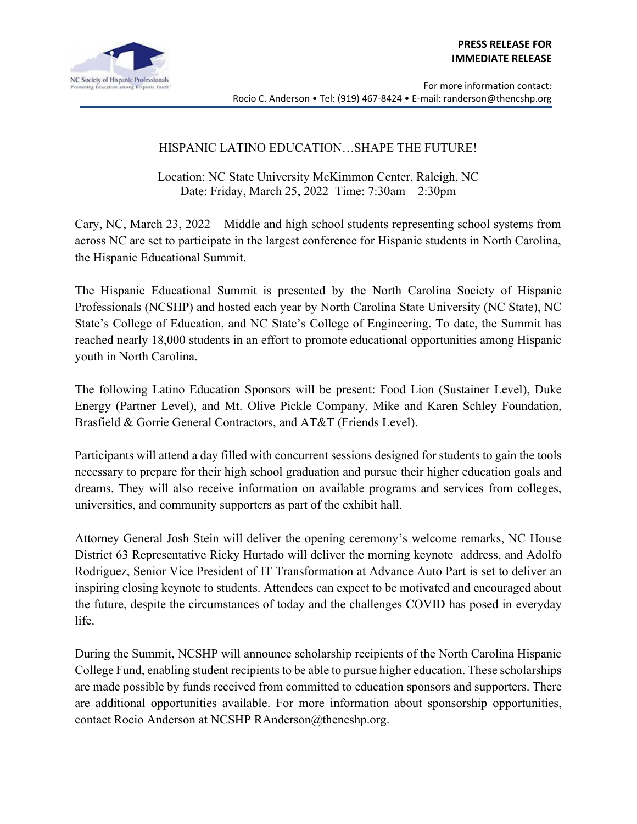

## HISPANIC LATINO EDUCATION…SHAPE THE FUTURE!

Location: NC State University McKimmon Center, Raleigh, NC Date: Friday, March 25, 2022 Time: 7:30am – 2:30pm

Cary, NC, March 23, 2022 – Middle and high school students representing school systems from across NC are set to participate in the largest conference for Hispanic students in North Carolina, the Hispanic Educational Summit.

The Hispanic Educational Summit is presented by the North Carolina Society of Hispanic Professionals (NCSHP) and hosted each year by North Carolina State University (NC State), NC State's College of Education, and NC State's College of Engineering. To date, the Summit has reached nearly 18,000 students in an effort to promote educational opportunities among Hispanic youth in North Carolina.

The following Latino Education Sponsors will be present: Food Lion (Sustainer Level), Duke Energy (Partner Level), and Mt. Olive Pickle Company, Mike and Karen Schley Foundation, Brasfield & Gorrie General Contractors, and AT&T (Friends Level).

Participants will attend a day filled with concurrent sessions designed for students to gain the tools necessary to prepare for their high school graduation and pursue their higher education goals and dreams. They will also receive information on available programs and services from colleges, universities, and community supporters as part of the exhibit hall.

Attorney General Josh Stein will deliver the opening ceremony's welcome remarks, NC House District 63 Representative Ricky Hurtado will deliver the morning keynote address, and Adolfo Rodriguez, Senior Vice President of IT Transformation at Advance Auto Part is set to deliver an inspiring closing keynote to students. Attendees can expect to be motivated and encouraged about the future, despite the circumstances of today and the challenges COVID has posed in everyday life.

During the Summit, NCSHP will announce scholarship recipients of the North Carolina Hispanic College Fund, enabling student recipients to be able to pursue higher education. These scholarships are made possible by funds received from committed to education sponsors and supporters. There are additional opportunities available. For more information about sponsorship opportunities, contact Rocio Anderson at NCSHP RAnderson@thencshp.org.